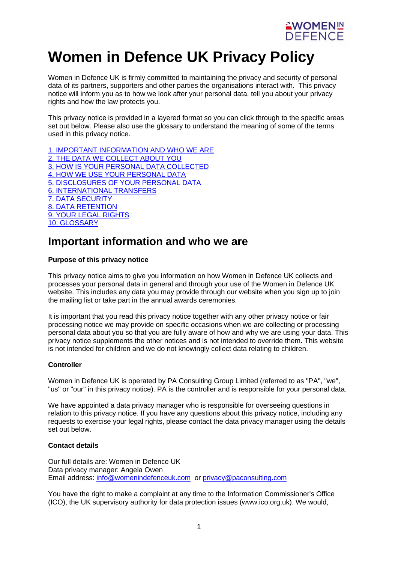

# **Women in Defence UK Privacy Policy**

Women in Defence UK is firmly committed to maintaining the privacy and security of personal data of its partners, supporters and other parties the organisations interact with. This privacy notice will inform you as to how we look after your personal data, tell you about your privacy rights and how the law protects you.

This privacy notice is provided in a layered format so you can click through to the specific areas set out below. Please also use the glossary to understand the meaning of some of the terms used in this privacy notice.

1. IMPORTANT [INFORMATION](https://www.womenindefenceuk.com/privacy-and-cookie-policy) AND WHO WE ARE 2. THE DATA WE [COLLECT](https://www.womenindefenceuk.com/privacy-and-cookie-policy) ABOUT YOU 3. HOW IS YOUR PERSONAL DATA [COLLECTED](https://www.womenindefenceuk.com/privacy-and-cookie-policy) 4. HOW WE USE YOUR [PERSONAL](https://www.womenindefenceuk.com/privacy-and-cookie-policy) DATA 5. [DISCLOSURES](https://www.womenindefenceuk.com/privacy-and-cookie-policy) OF YOUR PERSONAL DATA 6. [INTERNATIONAL](https://www.womenindefenceuk.com/privacy-and-cookie-policy) TRANSFERS 7. DATA [SECURITY](https://www.womenindefenceuk.com/privacy-and-cookie-policy) 8. DATA [RETENTION](https://www.womenindefenceuk.com/privacy-and-cookie-policy) 9. YOUR LEGAL [RIGHTS](https://www.womenindefenceuk.com/privacy-and-cookie-policy) 10. [GLOSSARY](https://www.womenindefenceuk.com/privacy-and-cookie-policy)

# **Important information and who we are**

#### **Purpose of this privacy notice**

This privacy notice aims to give you information on how Women in Defence UK collects and processes your personal data in general and through your use of the Women in Defence UK website. This includes any data you may provide through our website when you sign up to join the mailing list or take part in the annual awards ceremonies.

It is important that you read this privacy notice together with any other privacy notice or fair processing notice we may provide on specific occasions when we are collecting or processing personal data about you so that you are fully aware of how and why we are using your data. This privacy notice supplements the other notices and is not intended to override them. This website is not intended for children and we do not knowingly collect data relating to children.

#### **Controller**

Women in Defence UK is operated by PA Consulting Group Limited (referred to as "PA", "we", "us" or "our" in this privacy notice). PA is the controller and is responsible for your personal data.

We have appointed a data privacy manager who is responsible for overseeing questions in relation to this privacy notice. If you have any questions about this privacy notice, including any requests to exercise your legal rights, please contact the data privacy manager using the details set out below.

#### **Contact details**

Our full details are: Women in Defence UK Data privacy manager: Angela Owen Email address: info@womenindefenceuk.com or [privacy@paconsulting.com](mailto:privacy@paconsulting.com)

You have the right to make a complaint at any time to the Information Commissioner's Office (ICO), the UK supervisory authority for data protection issues (www.ico.org.uk). We would,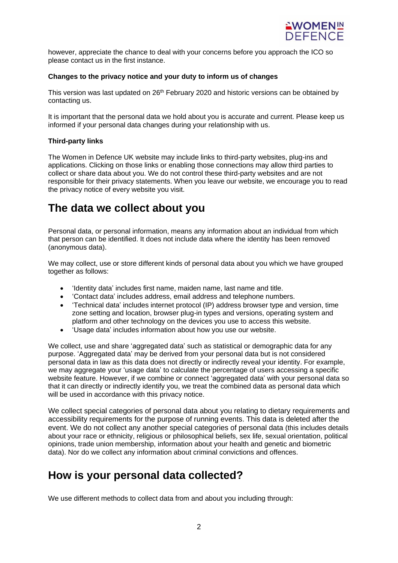

however, appreciate the chance to deal with your concerns before you approach the ICO so please contact us in the first instance.

#### **Changes to the privacy notice and your duty to inform us of changes**

This version was last updated on 26<sup>th</sup> February 2020 and historic versions can be obtained by contacting us.

It is important that the personal data we hold about you is accurate and current. Please keep us informed if your personal data changes during your relationship with us.

#### **Third-party links**

The Women in Defence UK website may include links to third-party websites, plug-ins and applications. Clicking on those links or enabling those connections may allow third parties to collect or share data about you. We do not control these third-party websites and are not responsible for their privacy statements. When you leave our website, we encourage you to read the privacy notice of every website you visit.

# **The data we collect about you**

Personal data, or personal information, means any information about an individual from which that person can be identified. It does not include data where the identity has been removed (anonymous data).

We may collect, use or store different kinds of personal data about you which we have grouped together as follows:

- 'Identity data' includes first name, maiden name, last name and title.
- 'Contact data' includes address, email address and telephone numbers.
- 'Technical data' includes internet protocol (IP) address browser type and version, time zone setting and location, browser plug-in types and versions, operating system and platform and other technology on the devices you use to access this website.
- 'Usage data' includes information about how you use our website.

We collect, use and share 'aggregated data' such as statistical or demographic data for any purpose. 'Aggregated data' may be derived from your personal data but is not considered personal data in law as this data does not directly or indirectly reveal your identity. For example, we may aggregate your 'usage data' to calculate the percentage of users accessing a specific website feature. However, if we combine or connect 'aggregated data' with your personal data so that it can directly or indirectly identify you, we treat the combined data as personal data which will be used in accordance with this privacy notice.

We collect special categories of personal data about you relating to dietary requirements and accessibility requirements for the purpose of running events. This data is deleted after the event. We do not collect any another special categories of personal data (this includes details about your race or ethnicity, religious or philosophical beliefs, sex life, sexual orientation, political opinions, trade union membership, information about your health and genetic and biometric data). Nor do we collect any information about criminal convictions and offences.

### **How is your personal data collected?**

We use different methods to collect data from and about you including through: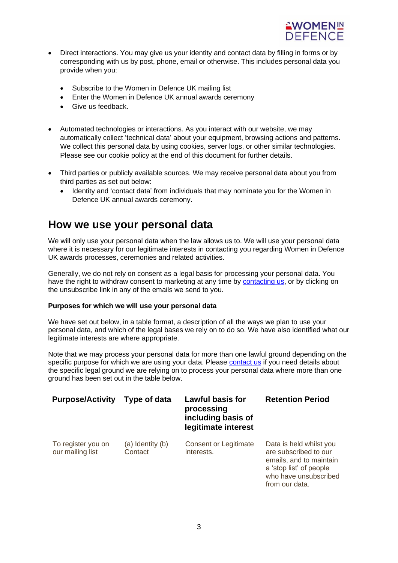

- Direct interactions. You may give us your identity and contact data by filling in forms or by corresponding with us by post, phone, email or otherwise. This includes personal data you provide when you:
	- Subscribe to the Women in Defence UK mailing list
	- Enter the Women in Defence UK annual awards ceremony
	- Give us feedback.
- Automated technologies or interactions. As you interact with our website, we may automatically collect 'technical data' about your equipment, browsing actions and patterns. We collect this personal data by using cookies, server logs, or other similar technologies. Please see our cookie policy at the end of this document for further details.
- Third parties or publicly available sources. We may receive personal data about you from third parties as set out below:
	- Identity and 'contact data' from individuals that may nominate you for the Women in Defence UK annual awards ceremony.

### **How we use your personal data**

We will only use your personal data when the law allows us to. We will use your personal data where it is necessary for our legitimate interests in contacting you regarding Women in Defence UK awards processes, ceremonies and related activities.

Generally, we do not rely on consent as a legal basis for processing your personal data. You have the right to withdraw consent to marketing at any time by [contacting](mailto:info@womenindefenceuk.com?subject=Women%20in%20Defence%20UK%20-%20Personal%20Data) us, or by clicking on the unsubscribe link in any of the emails we send to you.

#### **Purposes for which we will use your personal data**

We have set out below, in a table format, a description of all the ways we plan to use your personal data, and which of the legal bases we rely on to do so. We have also identified what our legitimate interests are where appropriate.

Note that we may process your personal data for more than one lawful ground depending on the specific purpose for which we are using your data. Please [contact](mailto:info@womenindefenceuk.com?subject=Women%20in%20Defence%20UK%20-%20Personal%20Data) us if you need details about the specific legal ground we are relying on to process your personal data where more than one ground has been set out in the table below.

| <b>Purpose/Activity</b>                | Type of data                | <b>Lawful basis for</b><br>processing<br>including basis of<br>legitimate interest | <b>Retention Period</b>                                                                                                                           |
|----------------------------------------|-----------------------------|------------------------------------------------------------------------------------|---------------------------------------------------------------------------------------------------------------------------------------------------|
| To register you on<br>our mailing list | (a) Identity (b)<br>Contact | <b>Consent or Legitimate</b><br>interests.                                         | Data is held whilst you<br>are subscribed to our<br>emails, and to maintain<br>a 'stop list' of people<br>who have unsubscribed<br>from our data. |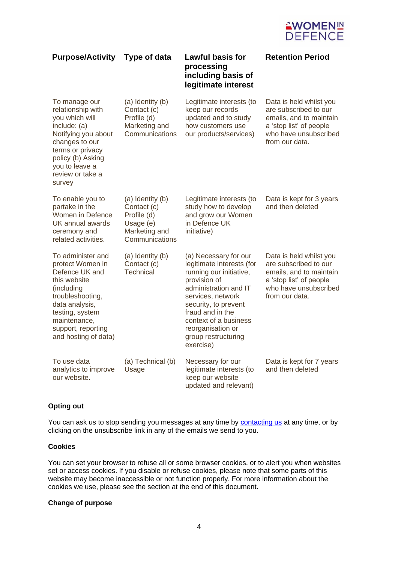

| <b>Purpose/Activity</b>                                                                                                                                                                                      | Type of data                                                                                   | <b>Lawful basis for</b><br>processing<br>including basis of<br>legitimate interest                                                                                                                                                                                        | <b>Retention Period</b>                                                                                                                           |
|--------------------------------------------------------------------------------------------------------------------------------------------------------------------------------------------------------------|------------------------------------------------------------------------------------------------|---------------------------------------------------------------------------------------------------------------------------------------------------------------------------------------------------------------------------------------------------------------------------|---------------------------------------------------------------------------------------------------------------------------------------------------|
| To manage our<br>relationship with<br>you which will<br>include: (a)<br>Notifying you about<br>changes to our<br>terms or privacy<br>policy (b) Asking<br>you to leave a<br>review or take a<br>survey       | (a) Identity (b)<br>Contact (c)<br>Profile (d)<br>Marketing and<br>Communications              | Legitimate interests (to<br>keep our records<br>updated and to study<br>how customers use<br>our products/services)                                                                                                                                                       | Data is held whilst you<br>are subscribed to our<br>emails, and to maintain<br>a 'stop list' of people<br>who have unsubscribed<br>from our data. |
| To enable you to<br>partake in the<br>Women in Defence<br>UK annual awards<br>ceremony and<br>related activities.                                                                                            | (a) Identity (b)<br>Contact (c)<br>Profile (d)<br>Usage (e)<br>Marketing and<br>Communications | Legitimate interests (to<br>study how to develop<br>and grow our Women<br>in Defence UK<br>initiative)                                                                                                                                                                    | Data is kept for 3 years<br>and then deleted                                                                                                      |
| To administer and<br>protect Women in<br>Defence UK and<br>this website<br>(including<br>troubleshooting,<br>data analysis,<br>testing, system<br>maintenance,<br>support, reporting<br>and hosting of data) | (a) Identity (b)<br>Contact (c)<br><b>Technical</b>                                            | (a) Necessary for our<br>legitimate interests (for<br>running our initiative,<br>provision of<br>administration and IT<br>services, network<br>security, to prevent<br>fraud and in the<br>context of a business<br>reorganisation or<br>group restructuring<br>exercise) | Data is held whilst you<br>are subscribed to our<br>emails, and to maintain<br>a 'stop list' of people<br>who have unsubscribed<br>from our data. |
| To use data<br>analytics to improve<br>our website.                                                                                                                                                          | (a) Technical (b)<br>Usage                                                                     | Necessary for our<br>legitimate interests (to<br>keep our website<br>updated and relevant)                                                                                                                                                                                | Data is kept for 7 years<br>and then deleted                                                                                                      |

#### **Opting out**

You can ask us to stop sending you messages at any time by [contacting](mailto:info@womenindefenceuk.com?subject=Women%20in%20Defence%20UK%20-%20Opting%20out) us at any time, or by clicking on the unsubscribe link in any of the emails we send to you.

#### **Cookies**

You can set your browser to refuse all or some browser cookies, or to alert you when websites set or access cookies. If you disable or refuse cookies, please note that some parts of this website may become inaccessible or not function properly. For more information about the cookies we use, please see the section at the end of this document.

#### **Change of purpose**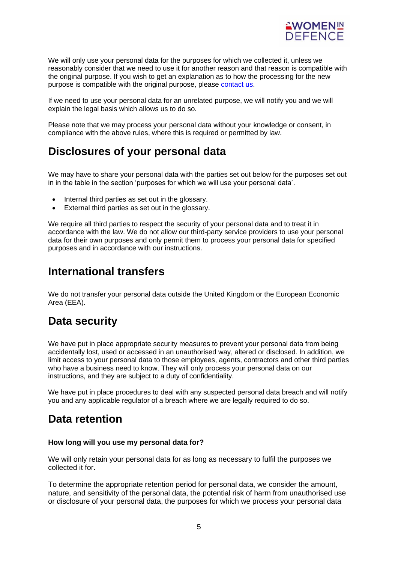

We will only use your personal data for the purposes for which we collected it, unless we reasonably consider that we need to use it for another reason and that reason is compatible with the original purpose. If you wish to get an explanation as to how the processing for the new purpose is compatible with the original purpose, please [contact](mailto:info@womenindefenceuk.com?subject=Women%20in%20Defence%20UK%20-%20Personal%20data) us.

If we need to use your personal data for an unrelated purpose, we will notify you and we will explain the legal basis which allows us to do so.

Please note that we may process your personal data without your knowledge or consent, in compliance with the above rules, where this is required or permitted by law.

## **Disclosures of your personal data**

We may have to share your personal data with the parties set out below for the purposes set out in in the table in the section 'purposes for which we will use your personal data'.

- Internal third parties as set out in the glossary.
- External third parties as set out in the glossary.

We require all third parties to respect the security of your personal data and to treat it in accordance with the law. We do not allow our third-party service providers to use your personal data for their own purposes and only permit them to process your personal data for specified purposes and in accordance with our instructions.

## **International transfers**

We do not transfer your personal data outside the United Kingdom or the European Economic Area (EEA).

# **Data security**

We have put in place appropriate security measures to prevent your personal data from being accidentally lost, used or accessed in an unauthorised way, altered or disclosed. In addition, we limit access to your personal data to those employees, agents, contractors and other third parties who have a business need to know. They will only process your personal data on our instructions, and they are subject to a duty of confidentiality.

We have put in place procedures to deal with any suspected personal data breach and will notify you and any applicable regulator of a breach where we are legally required to do so.

# **Data retention**

#### **How long will you use my personal data for?**

We will only retain your personal data for as long as necessary to fulfil the purposes we collected it for.

To determine the appropriate retention period for personal data, we consider the amount, nature, and sensitivity of the personal data, the potential risk of harm from unauthorised use or disclosure of your personal data, the purposes for which we process your personal data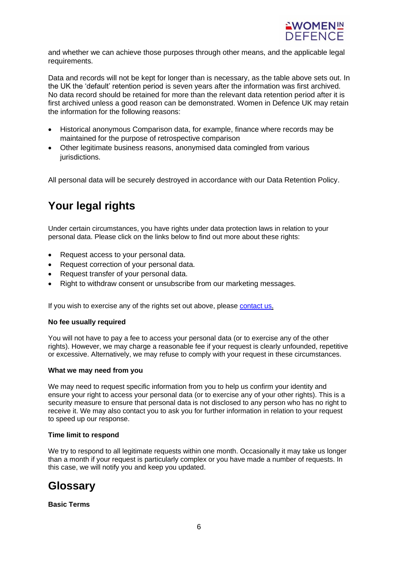

and whether we can achieve those purposes through other means, and the applicable legal requirements.

Data and records will not be kept for longer than is necessary, as the table above sets out. In the UK the 'default' retention period is seven years after the information was first archived. No data record should be retained for more than the relevant data retention period after it is first archived unless a good reason can be demonstrated. Women in Defence UK may retain the information for the following reasons:

- Historical anonymous Comparison data, for example, finance where records may be maintained for the purpose of retrospective comparison
- Other legitimate business reasons, anonymised data comingled from various jurisdictions.

All personal data will be securely destroyed in accordance with our Data Retention Policy.

# **Your legal rights**

Under certain circumstances, you have rights under data protection laws in relation to your personal data. Please click on the links below to find out more about these rights:

- Request access to your personal data.
- Request correction of your personal data.
- Request transfer of your personal data.
- Right to withdraw consent or unsubscribe from our marketing messages.

If you wish to exercise any of the rights set out above, please [contact](mailto:info@womenindefenceuk.com?subject=Women%20in%20Defence%20UK%20-%20Personal%20data) us.

#### **No fee usually required**

You will not have to pay a fee to access your personal data (or to exercise any of the other rights). However, we may charge a reasonable fee if your request is clearly unfounded, repetitive or excessive. Alternatively, we may refuse to comply with your request in these circumstances.

#### **What we may need from you**

We may need to request specific information from you to help us confirm your identity and ensure your right to access your personal data (or to exercise any of your other rights). This is a security measure to ensure that personal data is not disclosed to any person who has no right to receive it. We may also contact you to ask you for further information in relation to your request to speed up our response.

#### **Time limit to respond**

We try to respond to all legitimate requests within one month. Occasionally it may take us longer than a month if your request is particularly complex or you have made a number of requests. In this case, we will notify you and keep you updated.

### **Glossary**

**Basic Terms**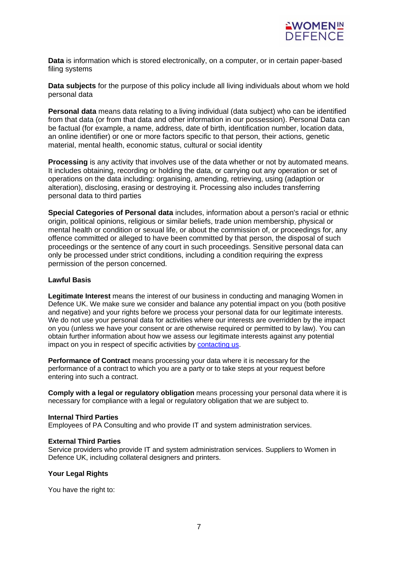

**Data** is information which is stored electronically, on a computer, or in certain paper-based filing systems

**Data subjects** for the purpose of this policy include all living individuals about whom we hold personal data

**Personal data** means data relating to a living individual (data subject) who can be identified from that data (or from that data and other information in our possession). Personal Data can be factual (for example, a name, address, date of birth, identification number, location data, an online identifier) or one or more factors specific to that person, their actions, genetic material, mental health, economic status, cultural or social identity

**Processing** is any activity that involves use of the data whether or not by automated means. It includes obtaining, recording or holding the data, or carrying out any operation or set of operations on the data including: organising, amending, retrieving, using (adaption or alteration), disclosing, erasing or destroying it. Processing also includes transferring personal data to third parties

**Special Categories of Personal data** includes, information about a person's racial or ethnic origin, political opinions, religious or similar beliefs, trade union membership, physical or mental health or condition or sexual life, or about the commission of, or proceedings for, any offence committed or alleged to have been committed by that person, the disposal of such proceedings or the sentence of any court in such proceedings. Sensitive personal data can only be processed under strict conditions, including a condition requiring the express permission of the person concerned.

#### **Lawful Basis**

**Legitimate Interest** means the interest of our business in conducting and managing Women in Defence UK. We make sure we consider and balance any potential impact on you (both positive and negative) and your rights before we process your personal data for our legitimate interests. We do not use your personal data for activities where our interests are overridden by the impact on you (unless we have your consent or are otherwise required or permitted to by law). You can obtain further information about how we assess our legitimate interests against any potential impact on you in respect of specific activities by [contacting](mailto:info@womenindefenceuk.com?subject=Women%20in%20Defence%20UK%20-%20Personal%20data) us.

**Performance of Contract** means processing your data where it is necessary for the performance of a contract to which you are a party or to take steps at your request before entering into such a contract.

**Comply with a legal or regulatory obligation** means processing your personal data where it is necessary for compliance with a legal or regulatory obligation that we are subject to.

#### **Internal Third Parties**

Employees of PA Consulting and who provide IT and system administration services.

#### **External Third Parties**

Service providers who provide IT and system administration services. Suppliers to Women in Defence UK, including collateral designers and printers.

#### **Your Legal Rights**

You have the right to: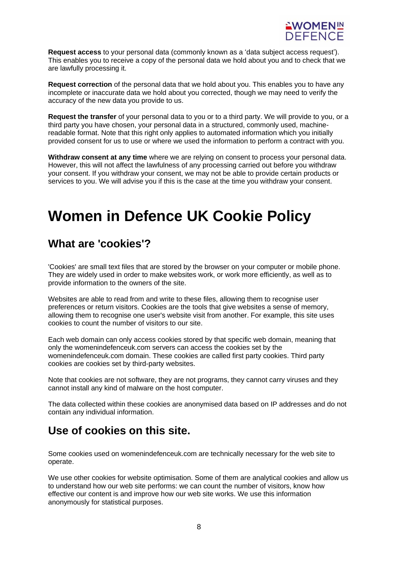

**Request access** to your personal data (commonly known as a 'data subject access request'). This enables you to receive a copy of the personal data we hold about you and to check that we are lawfully processing it.

**Request correction** of the personal data that we hold about you. This enables you to have any incomplete or inaccurate data we hold about you corrected, though we may need to verify the accuracy of the new data you provide to us.

**Request the transfer** of your personal data to you or to a third party. We will provide to you, or a third party you have chosen, your personal data in a structured, commonly used, machinereadable format. Note that this right only applies to automated information which you initially provided consent for us to use or where we used the information to perform a contract with you.

**Withdraw consent at any time** where we are relying on consent to process your personal data. However, this will not affect the lawfulness of any processing carried out before you withdraw your consent. If you withdraw your consent, we may not be able to provide certain products or services to you. We will advise you if this is the case at the time you withdraw your consent.

# **Women in Defence UK Cookie Policy**

## **What are 'cookies'?**

'Cookies' are small text files that are stored by the browser on your computer or mobile phone. They are widely used in order to make websites work, or work more efficiently, as well as to provide information to the owners of the site.

Websites are able to read from and write to these files, allowing them to recognise user preferences or return visitors. Cookies are the tools that give websites a sense of memory, allowing them to recognise one user's website visit from another. For example, this site uses cookies to count the number of visitors to our site.

Each web domain can only access cookies stored by that specific web domain, meaning that only the womenindefenceuk.com servers can access the cookies set by the womenindefenceuk.com domain. These cookies are called first party cookies. Third party cookies are cookies set by third-party websites.

Note that cookies are not software, they are not programs, they cannot carry viruses and they cannot install any kind of malware on the host computer.

The data collected within these cookies are anonymised data based on IP addresses and do not contain any individual information.

# **Use of cookies on this site.**

Some cookies used on womenindefenceuk.com are technically necessary for the web site to operate.

We use other cookies for website optimisation. Some of them are analytical cookies and allow us to understand how our web site performs: we can count the number of visitors, know how effective our content is and improve how our web site works. We use this information anonymously for statistical purposes.